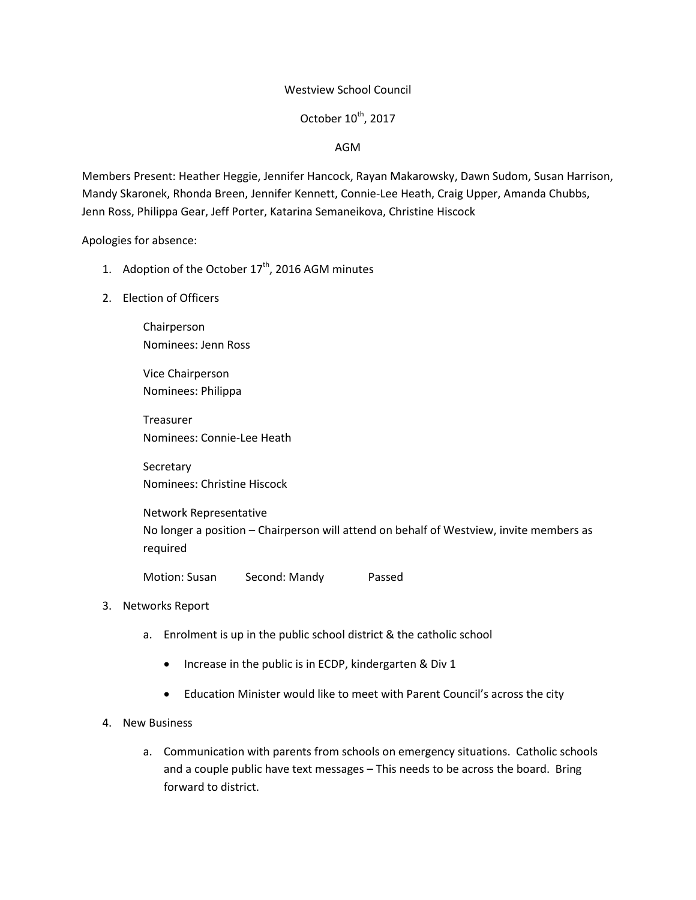## Westview School Council

# October  $10^{\text{th}}$ , 2017

## AGM

Members Present: Heather Heggie, Jennifer Hancock, Rayan Makarowsky, Dawn Sudom, Susan Harrison, Mandy Skaronek, Rhonda Breen, Jennifer Kennett, Connie-Lee Heath, Craig Upper, Amanda Chubbs, Jenn Ross, Philippa Gear, Jeff Porter, Katarina Semaneikova, Christine Hiscock

Apologies for absence:

- 1. Adoption of the October  $17<sup>th</sup>$ , 2016 AGM minutes
- 2. Election of Officers

Chairperson Nominees: Jenn Ross

Vice Chairperson Nominees: Philippa

Treasurer Nominees: Connie-Lee Heath

Secretary Nominees: Christine Hiscock

Network Representative No longer a position – Chairperson will attend on behalf of Westview, invite members as required

Motion: Susan Second: Mandy Passed

## 3. Networks Report

- a. Enrolment is up in the public school district & the catholic school
	- Increase in the public is in ECDP, kindergarten & Div 1
	- Education Minister would like to meet with Parent Council's across the city

#### 4. New Business

a. Communication with parents from schools on emergency situations. Catholic schools and a couple public have text messages – This needs to be across the board. Bring forward to district.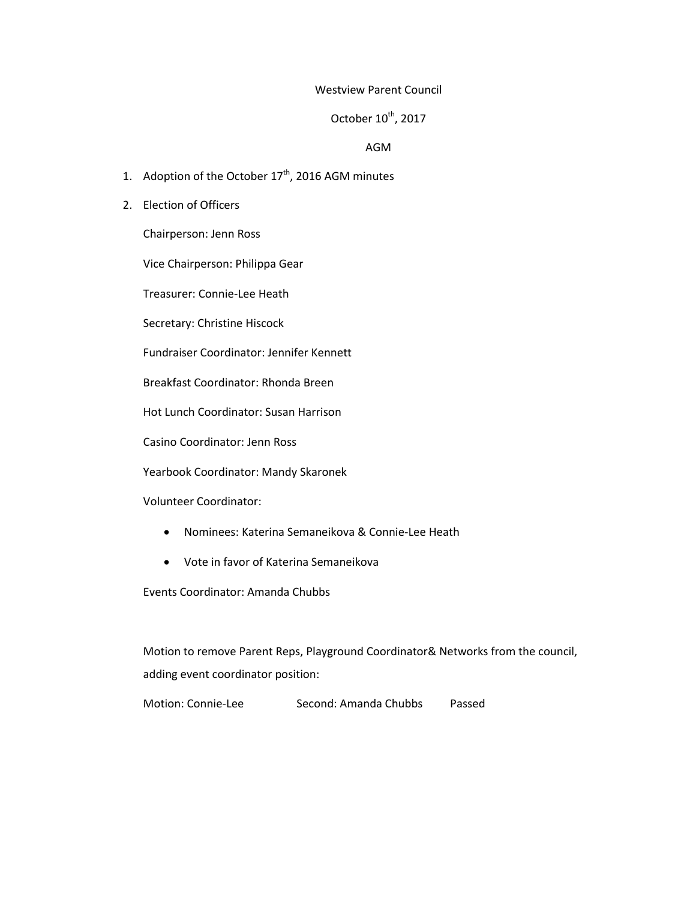#### Westview Parent Council

# October 10<sup>th</sup>, 2017

#### AGM

- 1. Adoption of the October  $17<sup>th</sup>$ , 2016 AGM minutes
- 2. Election of Officers

Chairperson: Jenn Ross

Vice Chairperson: Philippa Gear

Treasurer: Connie-Lee Heath

Secretary: Christine Hiscock

Fundraiser Coordinator: Jennifer Kennett

Breakfast Coordinator: Rhonda Breen

Hot Lunch Coordinator: Susan Harrison

Casino Coordinator: Jenn Ross

Yearbook Coordinator: Mandy Skaronek

Volunteer Coordinator:

- Nominees: Katerina Semaneikova & Connie-Lee Heath
- Vote in favor of Katerina Semaneikova

Events Coordinator: Amanda Chubbs

Motion to remove Parent Reps, Playground Coordinator& Networks from the council, adding event coordinator position:

Motion: Connie-Lee Second: Amanda Chubbs Passed